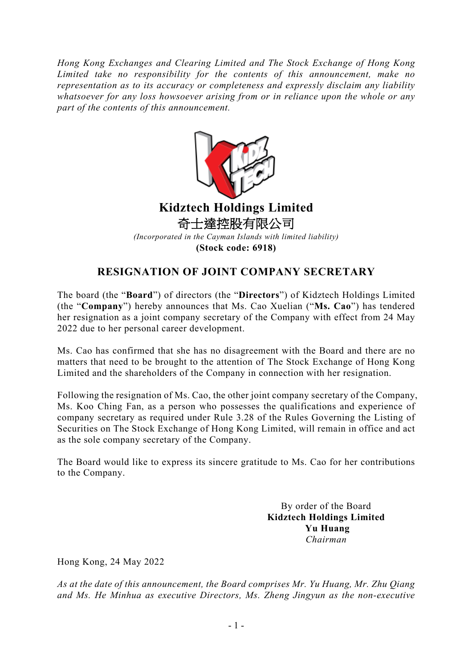*Hong Kong Exchanges and Clearing Limited and The Stock Exchange of Hong Kong Limited take no responsibility for the contents of this announcement, make no representation as to its accuracy or completeness and expressly disclaim any liability whatsoever for any loss howsoever arising from or in reliance upon the whole or any part of the contents of this announcement.*



## **RESIGNATION OF JOINT COMPANY SECRETARY**

The board (the "**Board**") of directors (the "**Directors**") of Kidztech Holdings Limited (the "**Company**") hereby announces that Ms. Cao Xuelian ("**Ms. Cao**") has tendered her resignation as a joint company secretary of the Company with effect from 24 May 2022 due to her personal career development.

Ms. Cao has confirmed that she has no disagreement with the Board and there are no matters that need to be brought to the attention of The Stock Exchange of Hong Kong Limited and the shareholders of the Company in connection with her resignation.

Following the resignation of Ms. Cao, the other joint company secretary of the Company, Ms. Koo Ching Fan, as a person who possesses the qualifications and experience of company secretary as required under Rule 3.28 of the Rules Governing the Listing of Securities on The Stock Exchange of Hong Kong Limited, will remain in office and act as the sole company secretary of the Company.

The Board would like to express its sincere gratitude to Ms. Cao for her contributions to the Company.

> By order of the Board **Kidztech Holdings Limited Yu Huang** *Chairman*

Hong Kong, 24 May 2022

*As at the date of this announcement, the Board comprises Mr. Yu Huang, Mr. Zhu Qiang and Ms. He Minhua as executive Directors, Ms. Zheng Jingyun as the non-executive*